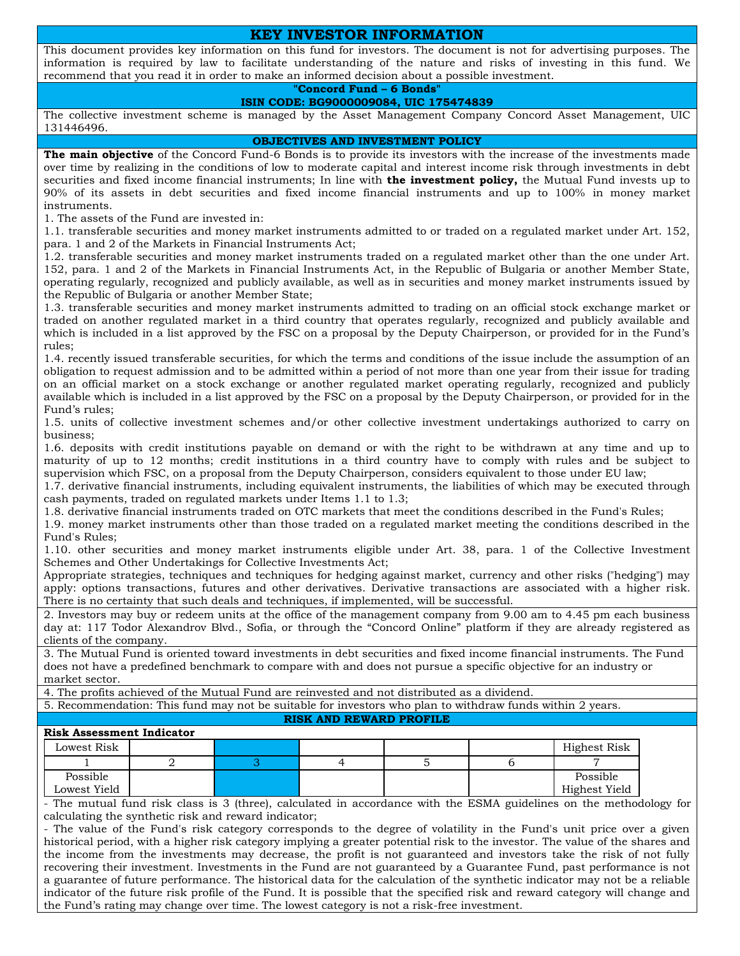## **КEY INVESTOR INFORMATION**

This document provides key information on this fund for investors. The document is not for advertising purposes. The information is required by law to facilitate understanding of the nature and risks of investing in this fund. We recommend that you read it in order to make an informed decision about a possible investment.

# **"Concord Fund – 6 Bonds"**

**ISIN CODE: BG9000009084, UIC 175474839**

The collective investment scheme is managed by the Asset Management Company Concord Asset Management, UIC 131446496.

**OBJECTIVES AND INVESTMENT POLICY**

**The main objective** of the Concord Fund-6 Bonds is to provide its investors with the increase of the investments made over time by realizing in the conditions of low to moderate capital and interest income risk through investments in debt securities and fixed income financial instruments; In line with **the investment policy,** the Mutual Fund invests up to 90% of its assets in debt securities and fixed income financial instruments and up to 100% in money market instruments.

1. The assets of the Fund are invested in:

1.1. transferable securities and money market instruments admitted to or traded on a regulated market under Art. 152, para. 1 and 2 of the Markets in Financial Instruments Act;

1.2. transferable securities and money market instruments traded on a regulated market other than the one under Art. 152, para. 1 and 2 of the Markets in Financial Instruments Act, in the Republic of Bulgaria or another Member State, operating regularly, recognized and publicly available, as well as in securities and money market instruments issued by the Republic of Bulgaria or another Member State;

1.3. transferable securities and money market instruments admitted to trading on an official stock exchange market or traded on another regulated market in a third country that operates regularly, recognized and publicly available and which is included in a list approved by the FSC on a proposal by the Deputy Chairperson, or provided for in the Fund's rules;

1.4. recently issued transferable securities, for which the terms and conditions of the issue include the assumption of an obligation to request admission and to be admitted within a period of not more than one year from their issue for trading on an official market on a stock exchange or another regulated market operating regularly, recognized and publicly available which is included in a list approved by the FSC on a proposal by the Deputy Chairperson, or provided for in the Fund's rules;

1.5. units of collective investment schemes and/or other collective investment undertakings authorized to carry on business;

1.6. deposits with credit institutions payable on demand or with the right to be withdrawn at any time and up to maturity of up to 12 months; credit institutions in a third country have to comply with rules and be subject to supervision which FSC, on a proposal from the Deputy Chairperson, considers equivalent to those under EU law;

1.7. derivative financial instruments, including equivalent instruments, the liabilities of which may be executed through cash payments, traded on regulated markets under Items 1.1 to 1.3;

1.8. derivative financial instruments traded on OTC markets that meet the conditions described in the Fund's Rules;

1.9. money market instruments other than those traded on a regulated market meeting the conditions described in the Fund's Rules;

1.10. other securities and money market instruments eligible under Art. 38, para. 1 of the Collective Investment Schemes and Other Undertakings for Collective Investments Act;

Appropriate strategies, techniques and techniques for hedging against market, currency and other risks ("hedging") may apply: options transactions, futures and other derivatives. Derivative transactions are associated with a higher risk. There is no certainty that such deals and techniques, if implemented, will be successful.

2. Investors may buy or redeem units at the office of the management company from 9.00 am to 4.45 pm each business day at: 117 Todor Alexandrov Blvd., Sofia, or through the "Concord Online" platform if they are already registered as clients of the company.

3. The Mutual Fund is oriented toward investments in debt securities and fixed income financial instruments. The Fund does not have a predefined benchmark to compare with and does not pursue a specific objective for an industry or market sector.

4. The profits achieved of the Mutual Fund are reinvested and not distributed as a dividend.

5. Recommendation: This fund may not be suitable for investors who plan to withdraw funds within 2 years.

#### **RISK AND REWARD PROFILE**

### **Risk Assessment Indicator**

| Lowest Risk  |  |  | Highest Risk  |
|--------------|--|--|---------------|
|              |  |  |               |
| Possible     |  |  | Possible      |
| Lowest Yield |  |  | Highest Yield |

- The mutual fund risk class is 3 (three), calculated in accordance with the ESMA guidelines on the methodology for calculating the synthetic risk and reward indicator;

- The value of the Fund's risk category corresponds to the degree of volatility in the Fund's unit price over a given historical period, with a higher risk category implying a greater potential risk to the investor. The value of the shares and the income from the investments may decrease, the profit is not guaranteed and investors take the risk of not fully recovering their investment. Investments in the Fund are not guaranteed by a Guarantee Fund, past performance is not a guarantee of future performance. The historical data for the calculation of the synthetic indicator may not be a reliable indicator of the future risk profile of the Fund. It is possible that the specified risk and reward category will change and the Fund's rating may change over time. The lowest category is not a risk-free investment.